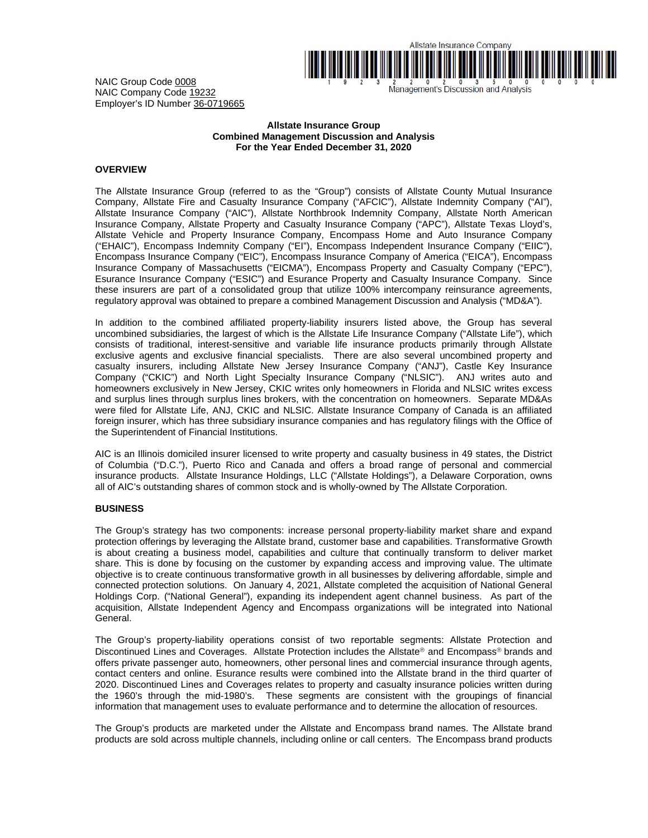

and the same of the state of the state of the state of the Management's Discussion and Analysis

NAIC Group Code 0008 NAIC Company Code 19232 Employer's ID Number 36-0719665

### **Allstate Insurance Group Combined Management Discussion and Analysis For the Year Ended December 31, 2020**

# **OVERVIEW**

The Allstate Insurance Group (referred to as the "Group") consists of Allstate County Mutual Insurance Company, Allstate Fire and Casualty Insurance Company ("AFCIC"), Allstate Indemnity Company ("AI"), Allstate Insurance Company ("AIC"), Allstate Northbrook Indemnity Company, Allstate North American Insurance Company, Allstate Property and Casualty Insurance Company ("APC"), Allstate Texas Lloyd's, Allstate Vehicle and Property Insurance Company, Encompass Home and Auto Insurance Company ("EHAIC"), Encompass Indemnity Company ("EI"), Encompass Independent Insurance Company ("EIIC"), Encompass Insurance Company ("EIC"), Encompass Insurance Company of America ("EICA"), Encompass Insurance Company of Massachusetts ("EICMA"), Encompass Property and Casualty Company ("EPC"), Esurance Insurance Company ("ESIC") and Esurance Property and Casualty Insurance Company. Since these insurers are part of a consolidated group that utilize 100% intercompany reinsurance agreements, regulatory approval was obtained to prepare a combined Management Discussion and Analysis ("MD&A").

In addition to the combined affiliated property-liability insurers listed above, the Group has several uncombined subsidiaries, the largest of which is the Allstate Life Insurance Company ("Allstate Life"), which consists of traditional, interest-sensitive and variable life insurance products primarily through Allstate exclusive agents and exclusive financial specialists. There are also several uncombined property and casualty insurers, including Allstate New Jersey Insurance Company ("ANJ"), Castle Key Insurance Company ("CKIC") and North Light Specialty Insurance Company ("NLSIC"). ANJ writes auto and homeowners exclusively in New Jersey, CKIC writes only homeowners in Florida and NLSIC writes excess and surplus lines through surplus lines brokers, with the concentration on homeowners. Separate MD&As were filed for Allstate Life, ANJ, CKIC and NLSIC. Allstate Insurance Company of Canada is an affiliated foreign insurer, which has three subsidiary insurance companies and has regulatory filings with the Office of the Superintendent of Financial Institutions.

AIC is an Illinois domiciled insurer licensed to write property and casualty business in 49 states, the District of Columbia ("D.C."), Puerto Rico and Canada and offers a broad range of personal and commercial insurance products. Allstate Insurance Holdings, LLC ("Allstate Holdings"), a Delaware Corporation, owns all of AIC's outstanding shares of common stock and is wholly-owned by The Allstate Corporation.

### **BUSINESS**

The Group's strategy has two components: increase personal property-liability market share and expand protection offerings by leveraging the Allstate brand, customer base and capabilities. Transformative Growth is about creating a business model, capabilities and culture that continually transform to deliver market share. This is done by focusing on the customer by expanding access and improving value. The ultimate objective is to create continuous transformative growth in all businesses by delivering affordable, simple and connected protection solutions. On January 4, 2021, Allstate completed the acquisition of National General Holdings Corp. ("National General"), expanding its independent agent channel business. As part of the acquisition, Allstate Independent Agency and Encompass organizations will be integrated into National General.

The Group's property-liability operations consist of two reportable segments: Allstate Protection and Discontinued Lines and Coverages. Allstate Protection includes the Allstate<sup>®</sup> and Encompass<sup>®</sup> brands and offers private passenger auto, homeowners, other personal lines and commercial insurance through agents, contact centers and online. Esurance results were combined into the Allstate brand in the third quarter of 2020. Discontinued Lines and Coverages relates to property and casualty insurance policies written during the 1960's through the mid-1980's. These segments are consistent with the groupings of financial information that management uses to evaluate performance and to determine the allocation of resources.

The Group's products are marketed under the Allstate and Encompass brand names. The Allstate brand products are sold across multiple channels, including online or call centers. The Encompass brand products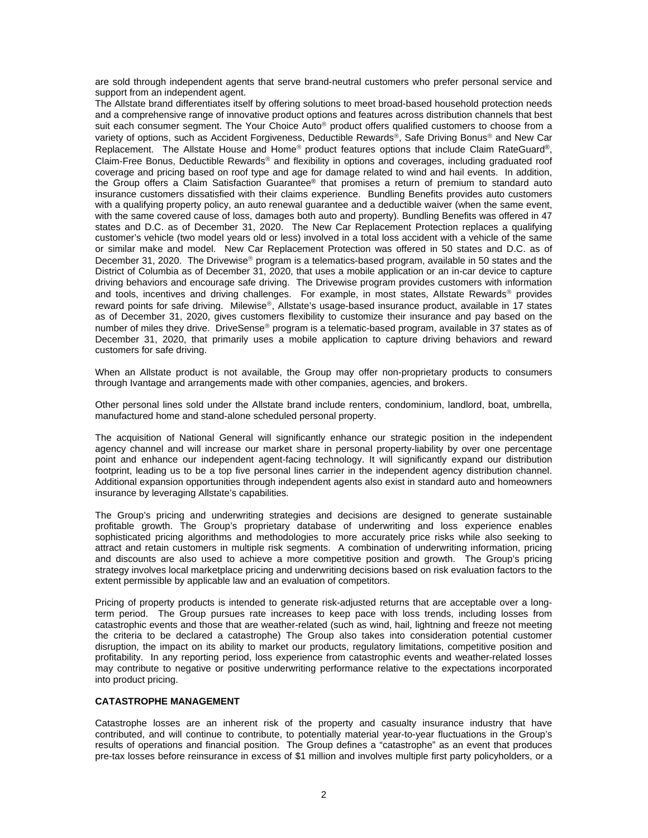are sold through independent agents that serve brand-neutral customers who prefer personal service and support from an independent agent.

The Allstate brand differentiates itself by offering solutions to meet broad-based household protection needs and a comprehensive range of innovative product options and features across distribution channels that best suit each consumer segment. The Your Choice Auto<sup>®</sup> product offers qualified customers to choose from a variety of options, such as Accident Forgiveness, Deductible Rewards®, Safe Driving Bonus® and New Car Replacement. The Allstate House and Home® product features options that include Claim RateGuard®, Claim-Free Bonus, Deductible Rewards® and flexibility in options and coverages, including graduated roof coverage and pricing based on roof type and age for damage related to wind and hail events. In addition, the Group offers a Claim Satisfaction Guarantee® that promises a return of premium to standard auto insurance customers dissatisfied with their claims experience. Bundling Benefits provides auto customers with a qualifying property policy, an auto renewal guarantee and a deductible waiver (when the same event, with the same covered cause of loss, damages both auto and property). Bundling Benefits was offered in 47 states and D.C. as of December 31, 2020. The New Car Replacement Protection replaces a qualifying customer's vehicle (two model years old or less) involved in a total loss accident with a vehicle of the same or similar make and model. New Car Replacement Protection was offered in 50 states and D.C. as of December 31, 2020. The Drivewise<sup>®</sup> program is a telematics-based program, available in 50 states and the District of Columbia as of December 31, 2020, that uses a mobile application or an in-car device to capture driving behaviors and encourage safe driving. The Drivewise program provides customers with information and tools, incentives and driving challenges. For example, in most states, Allstate Rewards<sup>®</sup> provides reward points for safe driving. Milewise®, Allstate's usage-based insurance product, available in 17 states as of December 31, 2020, gives customers flexibility to customize their insurance and pay based on the number of miles they drive. DriveSense® program is a telematic-based program, available in 37 states as of December 31, 2020, that primarily uses a mobile application to capture driving behaviors and reward customers for safe driving.

When an Allstate product is not available, the Group may offer non-proprietary products to consumers through Ivantage and arrangements made with other companies, agencies, and brokers.

Other personal lines sold under the Allstate brand include renters, condominium, landlord, boat, umbrella, manufactured home and stand-alone scheduled personal property.

The acquisition of National General will significantly enhance our strategic position in the independent agency channel and will increase our market share in personal property-liability by over one percentage point and enhance our independent agent-facing technology. It will significantly expand our distribution footprint, leading us to be a top five personal lines carrier in the independent agency distribution channel. Additional expansion opportunities through independent agents also exist in standard auto and homeowners insurance by leveraging Allstate's capabilities.

The Group's pricing and underwriting strategies and decisions are designed to generate sustainable profitable growth. The Group's proprietary database of underwriting and loss experience enables sophisticated pricing algorithms and methodologies to more accurately price risks while also seeking to attract and retain customers in multiple risk segments. A combination of underwriting information, pricing and discounts are also used to achieve a more competitive position and growth. The Group's pricing strategy involves local marketplace pricing and underwriting decisions based on risk evaluation factors to the extent permissible by applicable law and an evaluation of competitors.

Pricing of property products is intended to generate risk-adjusted returns that are acceptable over a longterm period. The Group pursues rate increases to keep pace with loss trends, including losses from catastrophic events and those that are weather-related (such as wind, hail, lightning and freeze not meeting the criteria to be declared a catastrophe) The Group also takes into consideration potential customer disruption, the impact on its ability to market our products, regulatory limitations, competitive position and profitability. In any reporting period, loss experience from catastrophic events and weather-related losses may contribute to negative or positive underwriting performance relative to the expectations incorporated into product pricing.

### **CATASTROPHE MANAGEMENT**

Catastrophe losses are an inherent risk of the property and casualty insurance industry that have contributed, and will continue to contribute, to potentially material year-to-year fluctuations in the Group's results of operations and financial position. The Group defines a "catastrophe" as an event that produces pre-tax losses before reinsurance in excess of \$1 million and involves multiple first party policyholders, or a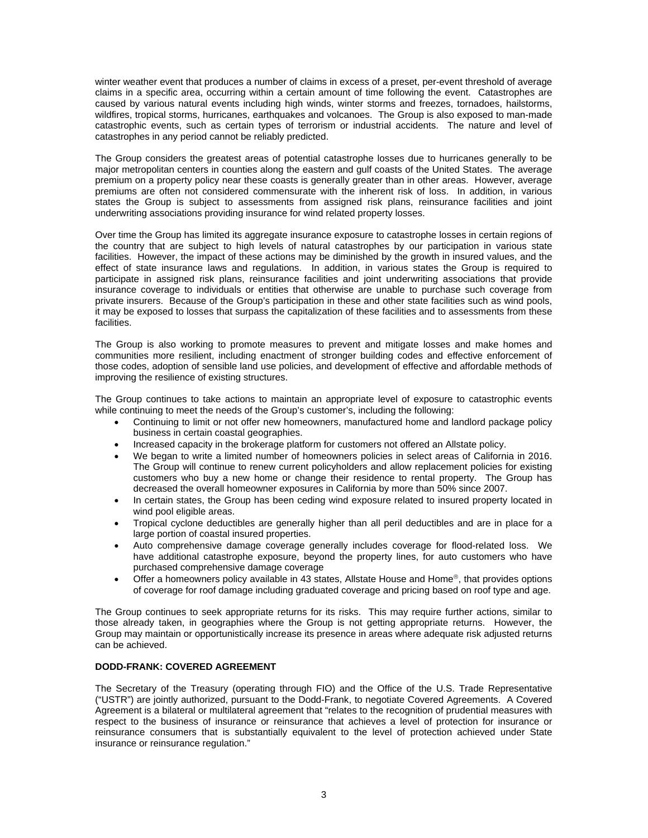winter weather event that produces a number of claims in excess of a preset, per-event threshold of average claims in a specific area, occurring within a certain amount of time following the event. Catastrophes are caused by various natural events including high winds, winter storms and freezes, tornadoes, hailstorms, wildfires, tropical storms, hurricanes, earthquakes and volcanoes. The Group is also exposed to man-made catastrophic events, such as certain types of terrorism or industrial accidents. The nature and level of catastrophes in any period cannot be reliably predicted.

The Group considers the greatest areas of potential catastrophe losses due to hurricanes generally to be major metropolitan centers in counties along the eastern and gulf coasts of the United States. The average premium on a property policy near these coasts is generally greater than in other areas. However, average premiums are often not considered commensurate with the inherent risk of loss. In addition, in various states the Group is subject to assessments from assigned risk plans, reinsurance facilities and joint underwriting associations providing insurance for wind related property losses.

Over time the Group has limited its aggregate insurance exposure to catastrophe losses in certain regions of the country that are subject to high levels of natural catastrophes by our participation in various state facilities. However, the impact of these actions may be diminished by the growth in insured values, and the effect of state insurance laws and regulations. In addition, in various states the Group is required to participate in assigned risk plans, reinsurance facilities and joint underwriting associations that provide insurance coverage to individuals or entities that otherwise are unable to purchase such coverage from private insurers. Because of the Group's participation in these and other state facilities such as wind pools, it may be exposed to losses that surpass the capitalization of these facilities and to assessments from these facilities.

The Group is also working to promote measures to prevent and mitigate losses and make homes and communities more resilient, including enactment of stronger building codes and effective enforcement of those codes, adoption of sensible land use policies, and development of effective and affordable methods of improving the resilience of existing structures.

The Group continues to take actions to maintain an appropriate level of exposure to catastrophic events while continuing to meet the needs of the Group's customer's, including the following:

- Continuing to limit or not offer new homeowners, manufactured home and landlord package policy business in certain coastal geographies.
- Increased capacity in the brokerage platform for customers not offered an Allstate policy.
- We began to write a limited number of homeowners policies in select areas of California in 2016. The Group will continue to renew current policyholders and allow replacement policies for existing customers who buy a new home or change their residence to rental property. The Group has decreased the overall homeowner exposures in California by more than 50% since 2007.
- In certain states, the Group has been ceding wind exposure related to insured property located in wind pool eligible areas.
- Tropical cyclone deductibles are generally higher than all peril deductibles and are in place for a large portion of coastal insured properties.
- Auto comprehensive damage coverage generally includes coverage for flood-related loss. We have additional catastrophe exposure, beyond the property lines, for auto customers who have purchased comprehensive damage coverage
- Offer a homeowners policy available in 43 states, Allstate House and Home®, that provides options of coverage for roof damage including graduated coverage and pricing based on roof type and age.

The Group continues to seek appropriate returns for its risks. This may require further actions, similar to those already taken, in geographies where the Group is not getting appropriate returns. However, the Group may maintain or opportunistically increase its presence in areas where adequate risk adjusted returns can be achieved.

# **DODD-FRANK: COVERED AGREEMENT**

The Secretary of the Treasury (operating through FIO) and the Office of the U.S. Trade Representative ("USTR") are jointly authorized, pursuant to the Dodd-Frank, to negotiate Covered Agreements. A Covered Agreement is a bilateral or multilateral agreement that "relates to the recognition of prudential measures with respect to the business of insurance or reinsurance that achieves a level of protection for insurance or reinsurance consumers that is substantially equivalent to the level of protection achieved under State insurance or reinsurance regulation."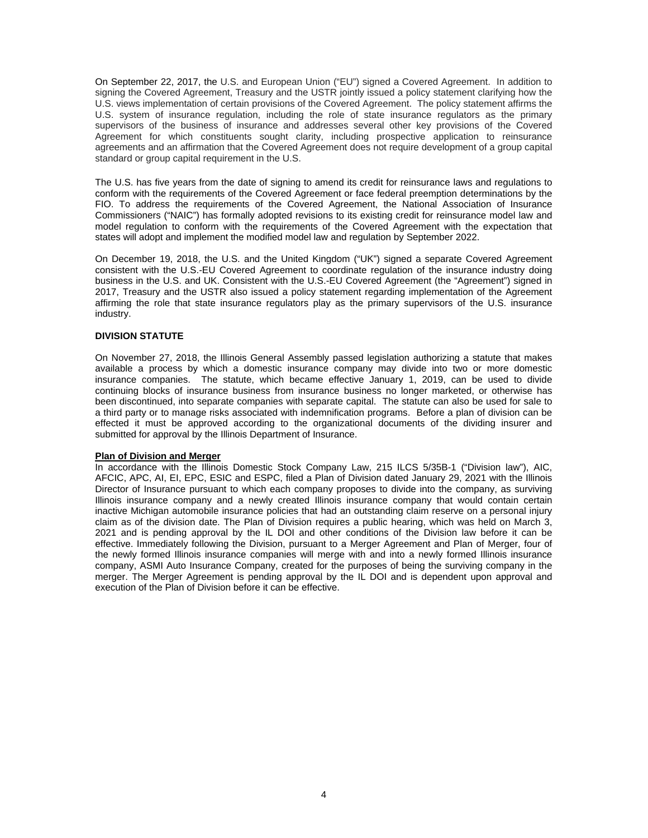On September 22, 2017, the U.S. and European Union ("EU") signed a Covered Agreement. In addition to signing the Covered Agreement, Treasury and the USTR jointly issued a policy statement clarifying how the U.S. views implementation of certain provisions of the Covered Agreement. The policy statement affirms the U.S. system of insurance regulation, including the role of state insurance regulators as the primary supervisors of the business of insurance and addresses several other key provisions of the Covered Agreement for which constituents sought clarity, including prospective application to reinsurance agreements and an affirmation that the Covered Agreement does not require development of a group capital standard or group capital requirement in the U.S.

The U.S. has five years from the date of signing to amend its credit for reinsurance laws and regulations to conform with the requirements of the Covered Agreement or face federal preemption determinations by the FIO. To address the requirements of the Covered Agreement, the National Association of Insurance Commissioners ("NAIC") has formally adopted revisions to its existing credit for reinsurance model law and model regulation to conform with the requirements of the Covered Agreement with the expectation that states will adopt and implement the modified model law and regulation by September 2022.

On December 19, 2018, the U.S. and the United Kingdom ("UK") signed a separate Covered Agreement consistent with the U.S.-EU Covered Agreement to coordinate regulation of the insurance industry doing business in the U.S. and UK. Consistent with the U.S.-EU Covered Agreement (the "Agreement") signed in 2017, Treasury and the USTR also issued a policy statement regarding implementation of the Agreement affirming the role that state insurance regulators play as the primary supervisors of the U.S. insurance industry.

### **DIVISION STATUTE**

On November 27, 2018, the Illinois General Assembly passed legislation authorizing a statute that makes available a process by which a domestic insurance company may divide into two or more domestic insurance companies. The statute, which became effective January 1, 2019, can be used to divide continuing blocks of insurance business from insurance business no longer marketed, or otherwise has been discontinued, into separate companies with separate capital. The statute can also be used for sale to a third party or to manage risks associated with indemnification programs. Before a plan of division can be effected it must be approved according to the organizational documents of the dividing insurer and submitted for approval by the Illinois Department of Insurance.

### **Plan of Division and Merger**

In accordance with the Illinois Domestic Stock Company Law, 215 ILCS 5/35B-1 ("Division law"), AIC, AFCIC, APC, AI, EI, EPC, ESIC and ESPC, filed a Plan of Division dated January 29, 2021 with the Illinois Director of Insurance pursuant to which each company proposes to divide into the company, as surviving Illinois insurance company and a newly created Illinois insurance company that would contain certain inactive Michigan automobile insurance policies that had an outstanding claim reserve on a personal injury claim as of the division date. The Plan of Division requires a public hearing, which was held on March 3, 2021 and is pending approval by the IL DOI and other conditions of the Division law before it can be effective. Immediately following the Division, pursuant to a Merger Agreement and Plan of Merger, four of the newly formed Illinois insurance companies will merge with and into a newly formed Illinois insurance company, ASMI Auto Insurance Company, created for the purposes of being the surviving company in the merger. The Merger Agreement is pending approval by the IL DOI and is dependent upon approval and execution of the Plan of Division before it can be effective.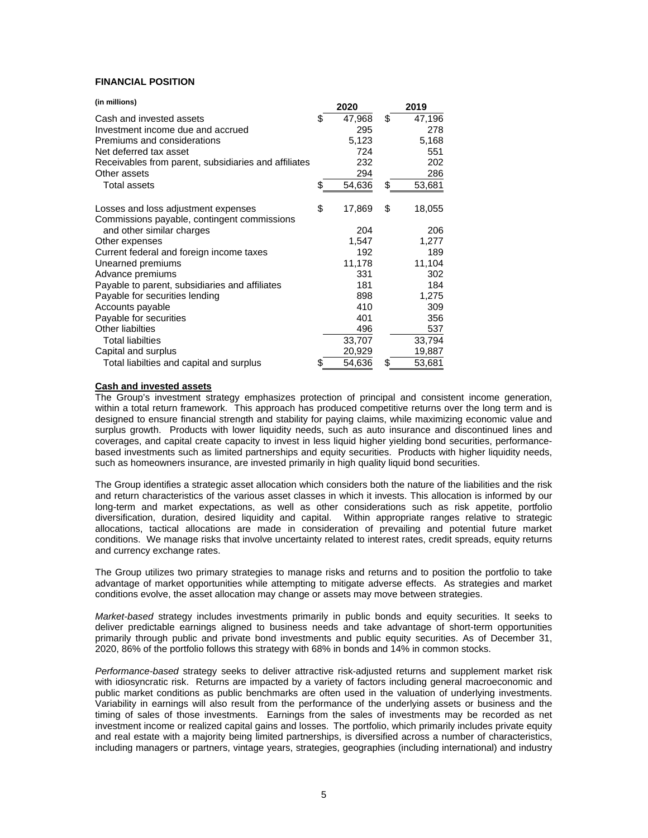## **FINANCIAL POSITION**

| (in millions)                                        |    | 2020   | 2019         |
|------------------------------------------------------|----|--------|--------------|
| Cash and invested assets                             | \$ | 47,968 | \$<br>47,196 |
| Investment income due and accrued                    |    | 295    | 278          |
| Premiums and considerations                          |    | 5,123  | 5,168        |
| Net deferred tax asset                               |    | 724    | 551          |
| Receivables from parent, subsidiaries and affiliates |    | 232    | 202          |
| Other assets                                         |    | 294    | 286          |
| <b>Total assets</b>                                  | S  | 54,636 | \$<br>53,681 |
| Losses and loss adjustment expenses                  | \$ | 17,869 | \$<br>18,055 |
| Commissions payable, contingent commissions          |    |        |              |
| and other similar charges                            |    | 204    | 206          |
| Other expenses                                       |    | 1,547  | 1,277        |
| Current federal and foreign income taxes             |    | 192    | 189          |
| Unearned premiums                                    |    | 11,178 | 11,104       |
| Advance premiums                                     |    | 331    | 302          |
| Payable to parent, subsidiaries and affiliates       |    | 181    | 184          |
| Payable for securities lending                       |    | 898    | 1,275        |
| Accounts payable                                     |    | 410    | 309          |
| Payable for securities                               |    | 401    | 356          |
| Other liabilties                                     |    | 496    | 537          |
| <b>Total liabilties</b>                              |    | 33,707 | 33,794       |
| Capital and surplus                                  |    | 20,929 | 19,887       |
| Total liabilties and capital and surplus             | \$ | 54,636 | \$<br>53,681 |

# **Cash and invested assets**

The Group's investment strategy emphasizes protection of principal and consistent income generation, within a total return framework. This approach has produced competitive returns over the long term and is designed to ensure financial strength and stability for paying claims, while maximizing economic value and surplus growth. Products with lower liquidity needs, such as auto insurance and discontinued lines and coverages, and capital create capacity to invest in less liquid higher yielding bond securities, performancebased investments such as limited partnerships and equity securities. Products with higher liquidity needs, such as homeowners insurance, are invested primarily in high quality liquid bond securities.

The Group identifies a strategic asset allocation which considers both the nature of the liabilities and the risk and return characteristics of the various asset classes in which it invests. This allocation is informed by our long-term and market expectations, as well as other considerations such as risk appetite, portfolio diversification, duration, desired liquidity and capital. Within appropriate ranges relative to strategic allocations, tactical allocations are made in consideration of prevailing and potential future market conditions. We manage risks that involve uncertainty related to interest rates, credit spreads, equity returns and currency exchange rates.

The Group utilizes two primary strategies to manage risks and returns and to position the portfolio to take advantage of market opportunities while attempting to mitigate adverse effects. As strategies and market conditions evolve, the asset allocation may change or assets may move between strategies.

*Market-based* strategy includes investments primarily in public bonds and equity securities. It seeks to deliver predictable earnings aligned to business needs and take advantage of short-term opportunities primarily through public and private bond investments and public equity securities. As of December 31, 2020, 86% of the portfolio follows this strategy with 68% in bonds and 14% in common stocks.

*Performance-based* strategy seeks to deliver attractive risk-adjusted returns and supplement market risk with idiosyncratic risk. Returns are impacted by a variety of factors including general macroeconomic and public market conditions as public benchmarks are often used in the valuation of underlying investments. Variability in earnings will also result from the performance of the underlying assets or business and the timing of sales of those investments. Earnings from the sales of investments may be recorded as net investment income or realized capital gains and losses. The portfolio, which primarily includes private equity and real estate with a majority being limited partnerships, is diversified across a number of characteristics, including managers or partners, vintage years, strategies, geographies (including international) and industry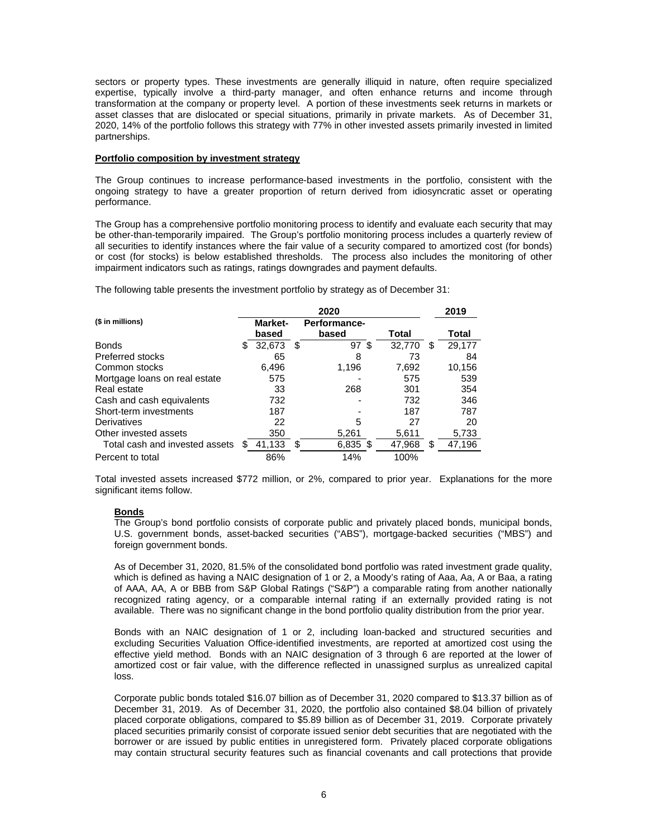sectors or property types. These investments are generally illiquid in nature, often require specialized expertise, typically involve a third-party manager, and often enhance returns and income through transformation at the company or property level. A portion of these investments seek returns in markets or asset classes that are dislocated or special situations, primarily in private markets. As of December 31, 2020, 14% of the portfolio follows this strategy with 77% in other invested assets primarily invested in limited partnerships.

### **Portfolio composition by investment strategy**

The Group continues to increase performance-based investments in the portfolio, consistent with the ongoing strategy to have a greater proportion of return derived from idiosyncratic asset or operating performance.

The Group has a comprehensive portfolio monitoring process to identify and evaluate each security that may be other-than-temporarily impaired. The Group's portfolio monitoring process includes a quarterly review of all securities to identify instances where the fair value of a security compared to amortized cost (for bonds) or cost (for stocks) is below established thresholds. The process also includes the monitoring of other impairment indicators such as ratings, ratings downgrades and payment defaults.

The following table presents the investment portfolio by strategy as of December 31:

|                                | 2020 |                |   |                 | 2019   |     |        |
|--------------------------------|------|----------------|---|-----------------|--------|-----|--------|
| (\$ in millions)               |      | <b>Market-</b> |   | Performance-    |        |     |        |
|                                |      | based          |   | based           | Total  |     | Total  |
| <b>Bonds</b>                   | S.   | 32,673         | S | 97 <sup>°</sup> | 32.770 | \$. | 29,177 |
| <b>Preferred stocks</b>        |      | 65             |   | 8               | 73     |     | 84     |
| Common stocks                  |      | 6,496          |   | 1,196           | 7,692  |     | 10,156 |
| Mortgage loans on real estate  |      | 575            |   |                 | 575    |     | 539    |
| Real estate                    |      | 33             |   | 268             | 301    |     | 354    |
| Cash and cash equivalents      |      | 732            |   |                 | 732    |     | 346    |
| Short-term investments         |      | 187            |   |                 | 187    |     | 787    |
| Derivatives                    |      | 22             |   | 5               | 27     |     | 20     |
| Other invested assets          |      | 350            |   | 5,261           | 5,611  |     | 5,733  |
| Total cash and invested assets |      | 41,133         | S | 6,835 \$        | 47,968 | \$. | 47,196 |
| Percent to total               |      | 86%            |   | 14%             | 100%   |     |        |

Total invested assets increased \$772 million, or 2%, compared to prior year. Explanations for the more significant items follow.

## **Bonds**

The Group's bond portfolio consists of corporate public and privately placed bonds, municipal bonds, U.S. government bonds, asset-backed securities ("ABS"), mortgage-backed securities ("MBS") and foreign government bonds.

As of December 31, 2020, 81.5% of the consolidated bond portfolio was rated investment grade quality, which is defined as having a NAIC designation of 1 or 2, a Moody's rating of Aaa, Aa, A or Baa, a rating of AAA, AA, A or BBB from S&P Global Ratings ("S&P") a comparable rating from another nationally recognized rating agency, or a comparable internal rating if an externally provided rating is not available. There was no significant change in the bond portfolio quality distribution from the prior year.

Bonds with an NAIC designation of 1 or 2, including loan-backed and structured securities and excluding Securities Valuation Office-identified investments, are reported at amortized cost using the effective yield method. Bonds with an NAIC designation of 3 through 6 are reported at the lower of amortized cost or fair value, with the difference reflected in unassigned surplus as unrealized capital loss.

Corporate public bonds totaled \$16.07 billion as of December 31, 2020 compared to \$13.37 billion as of December 31, 2019. As of December 31, 2020, the portfolio also contained \$8.04 billion of privately placed corporate obligations, compared to \$5.89 billion as of December 31, 2019. Corporate privately placed securities primarily consist of corporate issued senior debt securities that are negotiated with the borrower or are issued by public entities in unregistered form. Privately placed corporate obligations may contain structural security features such as financial covenants and call protections that provide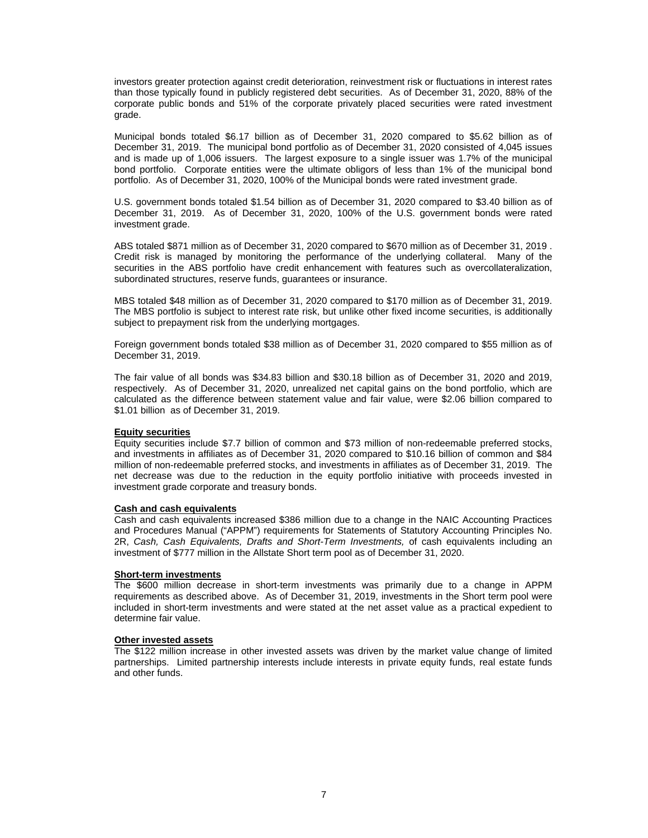investors greater protection against credit deterioration, reinvestment risk or fluctuations in interest rates than those typically found in publicly registered debt securities. As of December 31, 2020, 88% of the corporate public bonds and 51% of the corporate privately placed securities were rated investment grade.

Municipal bonds totaled \$6.17 billion as of December 31, 2020 compared to \$5.62 billion as of December 31, 2019. The municipal bond portfolio as of December 31, 2020 consisted of 4,045 issues and is made up of 1,006 issuers. The largest exposure to a single issuer was 1.7% of the municipal bond portfolio. Corporate entities were the ultimate obligors of less than 1% of the municipal bond portfolio. As of December 31, 2020, 100% of the Municipal bonds were rated investment grade.

U.S. government bonds totaled \$1.54 billion as of December 31, 2020 compared to \$3.40 billion as of December 31, 2019. As of December 31, 2020, 100% of the U.S. government bonds were rated investment grade.

ABS totaled \$871 million as of December 31, 2020 compared to \$670 million as of December 31, 2019 . Credit risk is managed by monitoring the performance of the underlying collateral. Many of the securities in the ABS portfolio have credit enhancement with features such as overcollateralization, subordinated structures, reserve funds, guarantees or insurance.

MBS totaled \$48 million as of December 31, 2020 compared to \$170 million as of December 31, 2019. The MBS portfolio is subject to interest rate risk, but unlike other fixed income securities, is additionally subject to prepayment risk from the underlying mortgages.

Foreign government bonds totaled \$38 million as of December 31, 2020 compared to \$55 million as of December 31, 2019.

The fair value of all bonds was \$34.83 billion and \$30.18 billion as of December 31, 2020 and 2019, respectively. As of December 31, 2020, unrealized net capital gains on the bond portfolio, which are calculated as the difference between statement value and fair value, were \$2.06 billion compared to \$1.01 billion as of December 31, 2019.

## **Equity securities**

Equity securities include \$7.7 billion of common and \$73 million of non-redeemable preferred stocks, and investments in affiliates as of December 31, 2020 compared to \$10.16 billion of common and \$84 million of non-redeemable preferred stocks, and investments in affiliates as of December 31, 2019. The net decrease was due to the reduction in the equity portfolio initiative with proceeds invested in investment grade corporate and treasury bonds.

## **Cash and cash equivalents**

Cash and cash equivalents increased \$386 million due to a change in the NAIC Accounting Practices and Procedures Manual ("APPM") requirements for Statements of Statutory Accounting Principles No. 2R, *Cash, Cash Equivalents, Drafts and Short-Term Investments,* of cash equivalents including an investment of \$777 million in the Allstate Short term pool as of December 31, 2020.

### **Short-term investments**

The \$600 million decrease in short-term investments was primarily due to a change in APPM requirements as described above. As of December 31, 2019, investments in the Short term pool were included in short-term investments and were stated at the net asset value as a practical expedient to determine fair value.

### **Other invested assets**

The \$122 million increase in other invested assets was driven by the market value change of limited partnerships. Limited partnership interests include interests in private equity funds, real estate funds and other funds.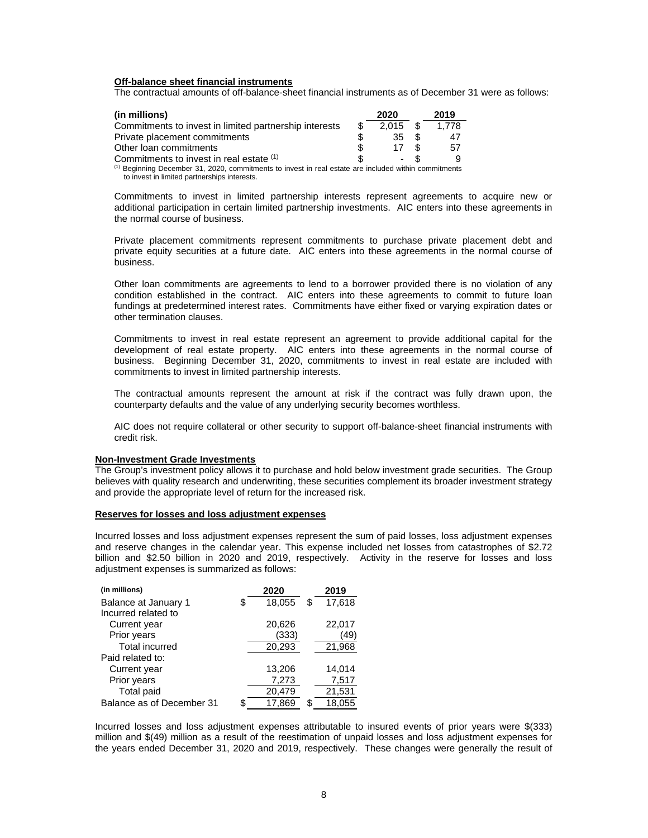### **Off-balance sheet financial instruments**

The contractual amounts of off-balance-sheet financial instruments as of December 31 were as follows:

| 2019  |
|-------|
| 1.778 |
| 47    |
| 57    |
|       |
|       |

 $<sup>(1)</sup>$  Beginning December 31, 2020, commitments to invest in real estate are included within commitments</sup> to invest in limited partnerships interests.

Commitments to invest in limited partnership interests represent agreements to acquire new or additional participation in certain limited partnership investments. AIC enters into these agreements in the normal course of business.

Private placement commitments represent commitments to purchase private placement debt and private equity securities at a future date. AIC enters into these agreements in the normal course of business.

Other loan commitments are agreements to lend to a borrower provided there is no violation of any condition established in the contract. AIC enters into these agreements to commit to future loan fundings at predetermined interest rates. Commitments have either fixed or varying expiration dates or other termination clauses.

Commitments to invest in real estate represent an agreement to provide additional capital for the development of real estate property. AIC enters into these agreements in the normal course of business. Beginning December 31, 2020, commitments to invest in real estate are included with commitments to invest in limited partnership interests.

The contractual amounts represent the amount at risk if the contract was fully drawn upon, the counterparty defaults and the value of any underlying security becomes worthless.

AIC does not require collateral or other security to support off-balance-sheet financial instruments with credit risk.

### **Non-Investment Grade Investments**

The Group's investment policy allows it to purchase and hold below investment grade securities. The Group believes with quality research and underwriting, these securities complement its broader investment strategy and provide the appropriate level of return for the increased risk.

### **Reserves for losses and loss adjustment expenses**

Incurred losses and loss adjustment expenses represent the sum of paid losses, loss adjustment expenses and reserve changes in the calendar year. This expense included net losses from catastrophes of \$2.72 billion and \$2.50 billion in 2020 and 2019, respectively. Activity in the reserve for losses and loss adjustment expenses is summarized as follows:

| (in millions)             |   | 2020   | 2019         |
|---------------------------|---|--------|--------------|
| Balance at January 1      | S | 18,055 | 17,618<br>\$ |
| Incurred related to       |   |        |              |
| Current year              |   | 20,626 | 22,017       |
| Prior years               |   | (333)  | 49)          |
| <b>Total incurred</b>     |   | 20,293 | 21,968       |
| Paid related to:          |   |        |              |
| Current year              |   | 13,206 | 14,014       |
| Prior years               |   | 7,273  | 7,517        |
| Total paid                |   | 20,479 | 21,531       |
| Balance as of December 31 |   | 17,869 | 18,055<br>\$ |

Incurred losses and loss adjustment expenses attributable to insured events of prior years were \$(333) million and \$(49) million as a result of the reestimation of unpaid losses and loss adjustment expenses for the years ended December 31, 2020 and 2019, respectively. These changes were generally the result of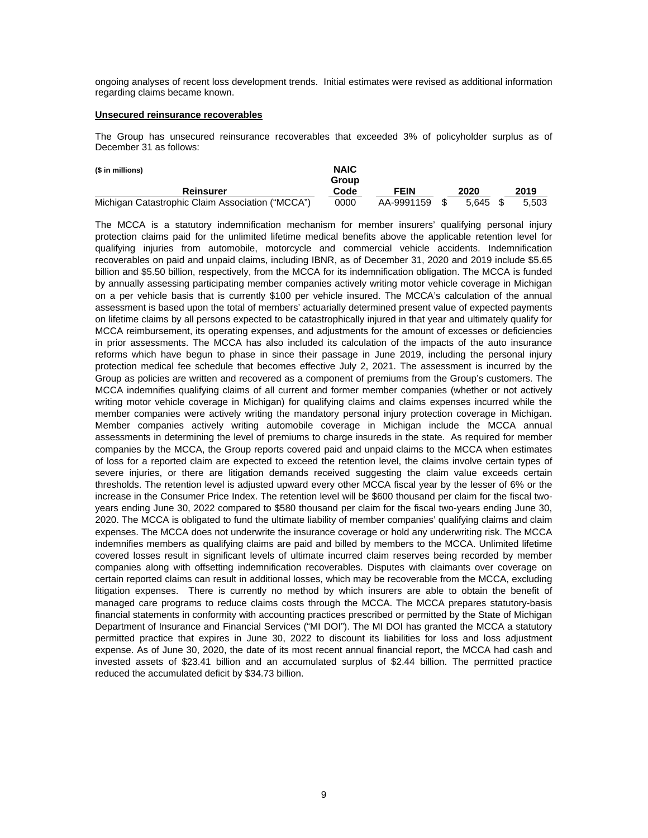ongoing analyses of recent loss development trends. Initial estimates were revised as additional information regarding claims became known.

#### **Unsecured reinsurance recoverables**

The Group has unsecured reinsurance recoverables that exceeded 3% of policyholder surplus as of December 31 as follows:

| (\$ in millions)                                 | <b>NAIC</b> |            |       |       |
|--------------------------------------------------|-------------|------------|-------|-------|
|                                                  | Group       |            |       |       |
| Reinsurer                                        | Code        | FEIN       | 2020  | 2019  |
| Michigan Catastrophic Claim Association ("MCCA") | 0000        | AA-9991159 | 5.645 | 5.503 |

The MCCA is a statutory indemnification mechanism for member insurers' qualifying personal injury protection claims paid for the unlimited lifetime medical benefits above the applicable retention level for qualifying injuries from automobile, motorcycle and commercial vehicle accidents. Indemnification recoverables on paid and unpaid claims, including IBNR, as of December 31, 2020 and 2019 include \$5.65 billion and \$5.50 billion, respectively, from the MCCA for its indemnification obligation. The MCCA is funded by annually assessing participating member companies actively writing motor vehicle coverage in Michigan on a per vehicle basis that is currently \$100 per vehicle insured. The MCCA's calculation of the annual assessment is based upon the total of members' actuarially determined present value of expected payments on lifetime claims by all persons expected to be catastrophically injured in that year and ultimately qualify for MCCA reimbursement, its operating expenses, and adjustments for the amount of excesses or deficiencies in prior assessments. The MCCA has also included its calculation of the impacts of the auto insurance reforms which have begun to phase in since their passage in June 2019, including the personal injury protection medical fee schedule that becomes effective July 2, 2021. The assessment is incurred by the Group as policies are written and recovered as a component of premiums from the Group's customers. The MCCA indemnifies qualifying claims of all current and former member companies (whether or not actively writing motor vehicle coverage in Michigan) for qualifying claims and claims expenses incurred while the member companies were actively writing the mandatory personal injury protection coverage in Michigan. Member companies actively writing automobile coverage in Michigan include the MCCA annual assessments in determining the level of premiums to charge insureds in the state. As required for member companies by the MCCA, the Group reports covered paid and unpaid claims to the MCCA when estimates of loss for a reported claim are expected to exceed the retention level, the claims involve certain types of severe injuries, or there are litigation demands received suggesting the claim value exceeds certain thresholds. The retention level is adjusted upward every other MCCA fiscal year by the lesser of 6% or the increase in the Consumer Price Index. The retention level will be \$600 thousand per claim for the fiscal twoyears ending June 30, 2022 compared to \$580 thousand per claim for the fiscal two-years ending June 30, 2020. The MCCA is obligated to fund the ultimate liability of member companies' qualifying claims and claim expenses. The MCCA does not underwrite the insurance coverage or hold any underwriting risk. The MCCA indemnifies members as qualifying claims are paid and billed by members to the MCCA. Unlimited lifetime covered losses result in significant levels of ultimate incurred claim reserves being recorded by member companies along with offsetting indemnification recoverables. Disputes with claimants over coverage on certain reported claims can result in additional losses, which may be recoverable from the MCCA, excluding litigation expenses. There is currently no method by which insurers are able to obtain the benefit of managed care programs to reduce claims costs through the MCCA. The MCCA prepares statutory-basis financial statements in conformity with accounting practices prescribed or permitted by the State of Michigan Department of Insurance and Financial Services ("MI DOI"). The MI DOI has granted the MCCA a statutory permitted practice that expires in June 30, 2022 to discount its liabilities for loss and loss adjustment expense. As of June 30, 2020, the date of its most recent annual financial report, the MCCA had cash and invested assets of \$23.41 billion and an accumulated surplus of \$2.44 billion. The permitted practice reduced the accumulated deficit by \$34.73 billion.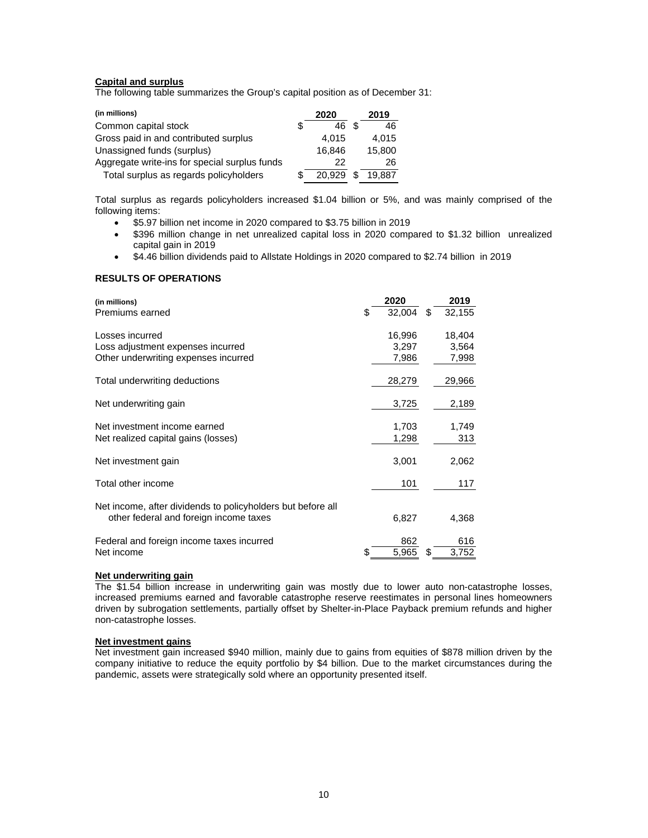# **Capital and surplus**

The following table summarizes the Group's capital position as of December 31:

| (in millions)                                 |   | 2020   | 2019   |
|-----------------------------------------------|---|--------|--------|
| Common capital stock                          | S | 46     | 46     |
| Gross paid in and contributed surplus         |   | 4.015  | 4.015  |
| Unassigned funds (surplus)                    |   | 16.846 | 15.800 |
| Aggregate write-ins for special surplus funds |   | 22     | 26     |
| Total surplus as regards policyholders        |   | 20.929 | 19.887 |

Total surplus as regards policyholders increased \$1.04 billion or 5%, and was mainly comprised of the following items:

- \$5.97 billion net income in 2020 compared to \$3.75 billion in 2019
- \$396 million change in net unrealized capital loss in 2020 compared to \$1.32 billion unrealized capital gain in 2019
- \$4.46 billion dividends paid to Allstate Holdings in 2020 compared to \$2.74 billion in 2019

# **RESULTS OF OPERATIONS**

| (in millions)<br>Premiums earned                                                                      | \$ | 2020<br>32.004           | \$<br>2019<br>32,155     |
|-------------------------------------------------------------------------------------------------------|----|--------------------------|--------------------------|
| Losses incurred<br>Loss adjustment expenses incurred<br>Other underwriting expenses incurred          |    | 16,996<br>3,297<br>7,986 | 18,404<br>3,564<br>7,998 |
| Total underwriting deductions                                                                         |    | 28,279                   | 29,966                   |
| Net underwriting gain                                                                                 |    | 3,725                    | 2,189                    |
| Net investment income earned<br>Net realized capital gains (losses)                                   |    | 1,703<br>1,298           | 1,749<br>313             |
| Net investment gain                                                                                   |    | 3,001                    | 2,062                    |
| Total other income                                                                                    |    | 101                      | 117                      |
| Net income, after dividends to policyholders but before all<br>other federal and foreign income taxes |    | 6,827                    | 4,368                    |
| Federal and foreign income taxes incurred<br>Net income                                               | S  | 862<br>5,965             | \$<br>616<br>3,752       |

# **Net underwriting gain**

The \$1.54 billion increase in underwriting gain was mostly due to lower auto non-catastrophe losses, increased premiums earned and favorable catastrophe reserve reestimates in personal lines homeowners driven by subrogation settlements, partially offset by Shelter-in-Place Payback premium refunds and higher non-catastrophe losses.

### **Net investment gains**

Net investment gain increased \$940 million, mainly due to gains from equities of \$878 million driven by the company initiative to reduce the equity portfolio by \$4 billion. Due to the market circumstances during the pandemic, assets were strategically sold where an opportunity presented itself.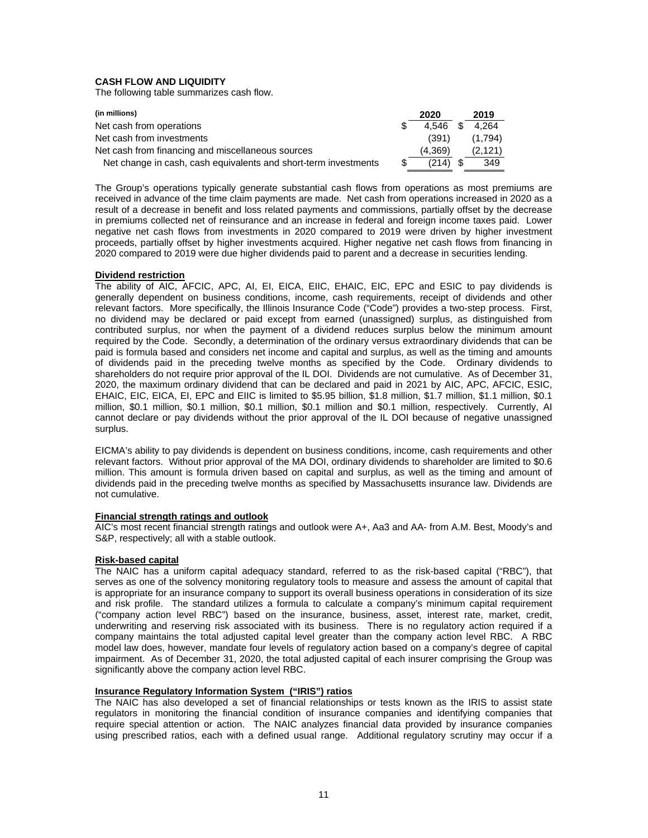# **CASH FLOW AND LIQUIDITY**

The following table summarizes cash flow.

| (in millions)                                                   |     | 2020    |      | 2019     |
|-----------------------------------------------------------------|-----|---------|------|----------|
| Net cash from operations                                        |     | 4.546   | - \$ | 4.264    |
| Net cash from investments                                       |     | (391)   |      | (1.794)  |
| Net cash from financing and miscellaneous sources               |     | (4.369) |      | (2, 121) |
| Net change in cash, cash equivalents and short-term investments | -SS | (214)   | - \$ | 349      |

The Group's operations typically generate substantial cash flows from operations as most premiums are received in advance of the time claim payments are made. Net cash from operations increased in 2020 as a result of a decrease in benefit and loss related payments and commissions, partially offset by the decrease in premiums collected net of reinsurance and an increase in federal and foreign income taxes paid. Lower negative net cash flows from investments in 2020 compared to 2019 were driven by higher investment proceeds, partially offset by higher investments acquired. Higher negative net cash flows from financing in 2020 compared to 2019 were due higher dividends paid to parent and a decrease in securities lending.

### **Dividend restriction**

The ability of AIC, AFCIC, APC, AI, EI, EICA, EIIC, EHAIC, EIC, EPC and ESIC to pay dividends is generally dependent on business conditions, income, cash requirements, receipt of dividends and other relevant factors. More specifically, the Illinois Insurance Code ("Code") provides a two-step process. First, no dividend may be declared or paid except from earned (unassigned) surplus, as distinguished from contributed surplus, nor when the payment of a dividend reduces surplus below the minimum amount required by the Code. Secondly, a determination of the ordinary versus extraordinary dividends that can be paid is formula based and considers net income and capital and surplus, as well as the timing and amounts of dividends paid in the preceding twelve months as specified by the Code. Ordinary dividends to shareholders do not require prior approval of the IL DOI. Dividends are not cumulative. As of December 31, 2020, the maximum ordinary dividend that can be declared and paid in 2021 by AIC, APC, AFCIC, ESIC, EHAIC, EIC, EICA, EI, EPC and EIIC is limited to \$5.95 billion, \$1.8 million, \$1.7 million, \$1.1 million, \$0.1 million, \$0.1 million, \$0.1 million, \$0.1 million, \$0.1 million and \$0.1 million, respectively. Currently, AI cannot declare or pay dividends without the prior approval of the IL DOI because of negative unassigned surplus.

EICMA's ability to pay dividends is dependent on business conditions, income, cash requirements and other relevant factors. Without prior approval of the MA DOI, ordinary dividends to shareholder are limited to \$0.6 million. This amount is formula driven based on capital and surplus, as well as the timing and amount of dividends paid in the preceding twelve months as specified by Massachusetts insurance law. Dividends are not cumulative.

### **Financial strength ratings and outlook**

AIC's most recent financial strength ratings and outlook were A+, Aa3 and AA- from A.M. Best, Moody's and S&P, respectively; all with a stable outlook.

## **Risk-based capital**

The NAIC has a uniform capital adequacy standard, referred to as the risk-based capital ("RBC"), that serves as one of the solvency monitoring regulatory tools to measure and assess the amount of capital that is appropriate for an insurance company to support its overall business operations in consideration of its size and risk profile. The standard utilizes a formula to calculate a company's minimum capital requirement ("company action level RBC") based on the insurance, business, asset, interest rate, market, credit, underwriting and reserving risk associated with its business. There is no regulatory action required if a company maintains the total adjusted capital level greater than the company action level RBC. A RBC model law does, however, mandate four levels of regulatory action based on a company's degree of capital impairment. As of December 31, 2020, the total adjusted capital of each insurer comprising the Group was significantly above the company action level RBC.

## **Insurance Regulatory Information System ("IRIS") ratios**

The NAIC has also developed a set of financial relationships or tests known as the IRIS to assist state regulators in monitoring the financial condition of insurance companies and identifying companies that require special attention or action. The NAIC analyzes financial data provided by insurance companies using prescribed ratios, each with a defined usual range. Additional regulatory scrutiny may occur if a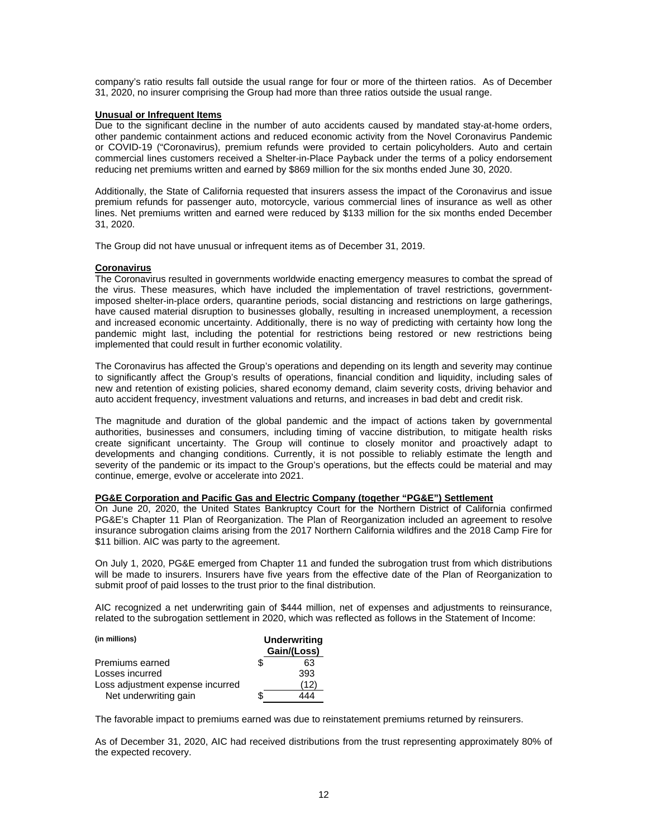company's ratio results fall outside the usual range for four or more of the thirteen ratios. As of December 31, 2020, no insurer comprising the Group had more than three ratios outside the usual range.

### **Unusual or Infrequent Items**

Due to the significant decline in the number of auto accidents caused by mandated stay-at-home orders, other pandemic containment actions and reduced economic activity from the Novel Coronavirus Pandemic or COVID-19 ("Coronavirus), premium refunds were provided to certain policyholders. Auto and certain commercial lines customers received a Shelter-in-Place Payback under the terms of a policy endorsement reducing net premiums written and earned by \$869 million for the six months ended June 30, 2020.

Additionally, the State of California requested that insurers assess the impact of the Coronavirus and issue premium refunds for passenger auto, motorcycle, various commercial lines of insurance as well as other lines. Net premiums written and earned were reduced by \$133 million for the six months ended December 31, 2020.

The Group did not have unusual or infrequent items as of December 31, 2019.

### **Coronavirus**

The Coronavirus resulted in governments worldwide enacting emergency measures to combat the spread of the virus. These measures, which have included the implementation of travel restrictions, governmentimposed shelter-in-place orders, quarantine periods, social distancing and restrictions on large gatherings, have caused material disruption to businesses globally, resulting in increased unemployment, a recession and increased economic uncertainty. Additionally, there is no way of predicting with certainty how long the pandemic might last, including the potential for restrictions being restored or new restrictions being implemented that could result in further economic volatility.

The Coronavirus has affected the Group's operations and depending on its length and severity may continue to significantly affect the Group's results of operations, financial condition and liquidity, including sales of new and retention of existing policies, shared economy demand, claim severity costs, driving behavior and auto accident frequency, investment valuations and returns, and increases in bad debt and credit risk.

The magnitude and duration of the global pandemic and the impact of actions taken by governmental authorities, businesses and consumers, including timing of vaccine distribution, to mitigate health risks create significant uncertainty. The Group will continue to closely monitor and proactively adapt to developments and changing conditions. Currently, it is not possible to reliably estimate the length and severity of the pandemic or its impact to the Group's operations, but the effects could be material and may continue, emerge, evolve or accelerate into 2021.

### **PG&E Corporation and Pacific Gas and Electric Company (together "PG&E") Settlement**

On June 20, 2020, the United States Bankruptcy Court for the Northern District of California confirmed PG&E's Chapter 11 Plan of Reorganization. The Plan of Reorganization included an agreement to resolve insurance subrogation claims arising from the 2017 Northern California wildfires and the 2018 Camp Fire for \$11 billion. AIC was party to the agreement.

On July 1, 2020, PG&E emerged from Chapter 11 and funded the subrogation trust from which distributions will be made to insurers. Insurers have five years from the effective date of the Plan of Reorganization to submit proof of paid losses to the trust prior to the final distribution.

AIC recognized a net underwriting gain of \$444 million, net of expenses and adjustments to reinsurance, related to the subrogation settlement in 2020, which was reflected as follows in the Statement of Income:

| (in millions)                    | <b>Underwriting</b><br>Gain/(Loss) |      |  |  |  |
|----------------------------------|------------------------------------|------|--|--|--|
| Premiums earned                  |                                    | 63   |  |  |  |
| Losses incurred                  |                                    | 393  |  |  |  |
| Loss adjustment expense incurred |                                    | (12) |  |  |  |
| Net underwriting gain            |                                    |      |  |  |  |

The favorable impact to premiums earned was due to reinstatement premiums returned by reinsurers.

As of December 31, 2020, AIC had received distributions from the trust representing approximately 80% of the expected recovery.